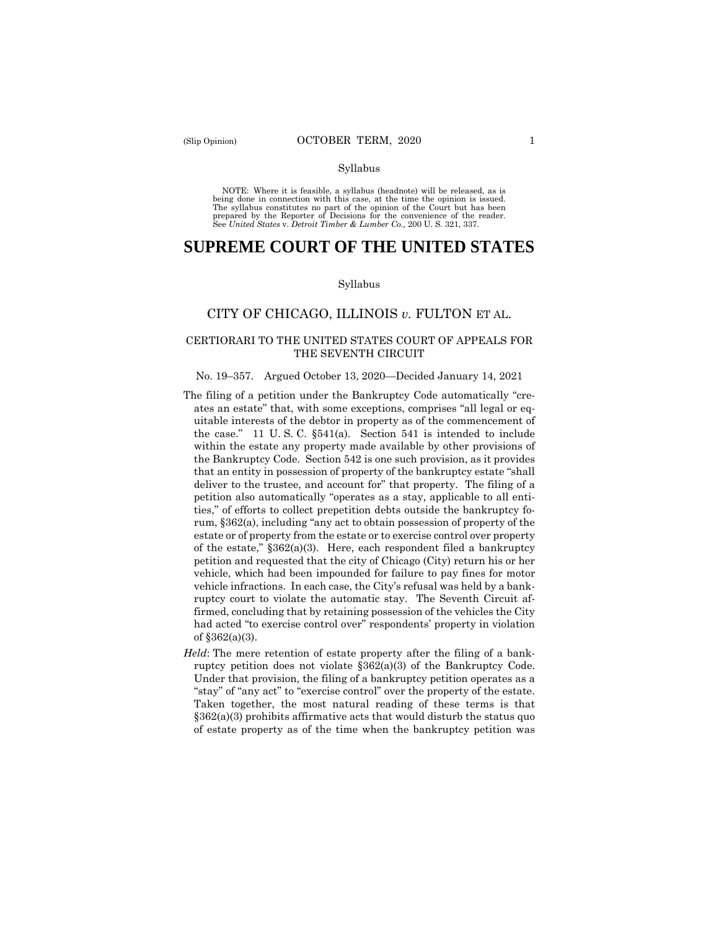#### Syllabus

 NOTE: Where it is feasible, a syllabus (headnote) will be released, as is being done in connection with this case, at the time the opinion is issued. The syllabus constitutes no part of the opinion of the Court but has been<br>prepared by the Reporter of Decisions for the convenience of the reader.<br>See United States v. Detroit Timber & Lumber Co., 200 U.S. 321, 337.

# **SUPREME COURT OF THE UNITED STATES**

#### Syllabus

# CITY OF CHICAGO, ILLINOIS *v.* FULTON ET AL.

### CERTIORARI TO THE UNITED STATES COURT OF APPEALS FOR THE SEVENTH CIRCUIT

#### No. 19–357. Argued October 13, 2020—Decided January 14, 2021

- The filing of a petition under the Bankruptcy Code automatically "creates an estate" that, with some exceptions, comprises "all legal or equitable interests of the debtor in property as of the commencement of the case." 11 U. S. C. §541(a). Section 541 is intended to include within the estate any property made available by other provisions of the Bankruptcy Code. Section 542 is one such provision, as it provides that an entity in possession of property of the bankruptcy estate "shall deliver to the trustee, and account for" that property. The filing of a petition also automatically "operates as a stay, applicable to all entities," of efforts to collect prepetition debts outside the bankruptcy forum, §362(a), including "any act to obtain possession of property of the estate or of property from the estate or to exercise control over property of the estate,"  $$362(a)(3)$ . Here, each respondent filed a bankruptcy petition and requested that the city of Chicago (City) return his or her vehicle, which had been impounded for failure to pay fines for motor vehicle infractions. In each case, the City's refusal was held by a bankruptcy court to violate the automatic stay. The Seventh Circuit affirmed, concluding that by retaining possession of the vehicles the City had acted "to exercise control over" respondents' property in violation of §362(a)(3).
- *Held*: The mere retention of estate property after the filing of a bankruptcy petition does not violate §362(a)(3) of the Bankruptcy Code. Under that provision, the filing of a bankruptcy petition operates as a "stay" of "any act" to "exercise control" over the property of the estate. Taken together, the most natural reading of these terms is that  $§362(a)(3)$  prohibits affirmative acts that would disturb the status quo of estate property as of the time when the bankruptcy petition was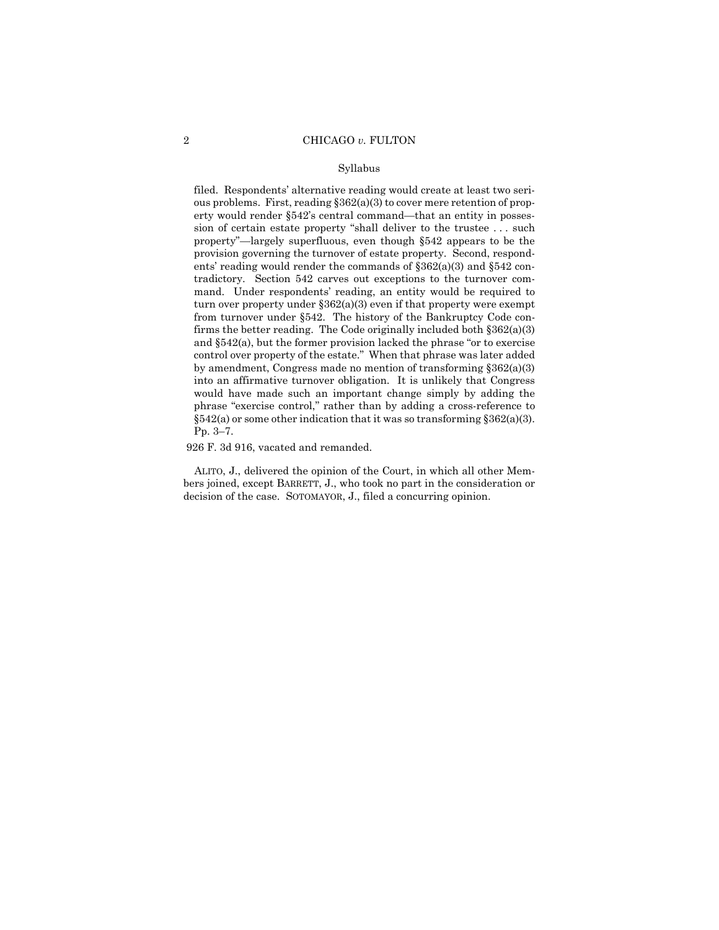#### Syllabus

 $§542(a)$  or some other indication that it was so transforming  $§362(a)(3)$ . filed. Respondents' alternative reading would create at least two serious problems. First, reading §362(a)(3) to cover mere retention of property would render §542's central command—that an entity in possession of certain estate property "shall deliver to the trustee . . . such property"—largely superfluous, even though §542 appears to be the provision governing the turnover of estate property. Second, respondents' reading would render the commands of §362(a)(3) and §542 contradictory. Section 542 carves out exceptions to the turnover command. Under respondents' reading, an entity would be required to turn over property under §362(a)(3) even if that property were exempt from turnover under §542. The history of the Bankruptcy Code confirms the better reading. The Code originally included both  $\S 362(a)(3)$ and §542(a), but the former provision lacked the phrase "or to exercise control over property of the estate." When that phrase was later added by amendment, Congress made no mention of transforming §362(a)(3) into an affirmative turnover obligation. It is unlikely that Congress would have made such an important change simply by adding the phrase "exercise control," rather than by adding a cross-reference to Pp. 3–7.

926 F. 3d 916, vacated and remanded.

ALITO, J., delivered the opinion of the Court, in which all other Members joined, except BARRETT, J., who took no part in the consideration or decision of the case. SOTOMAYOR, J., filed a concurring opinion.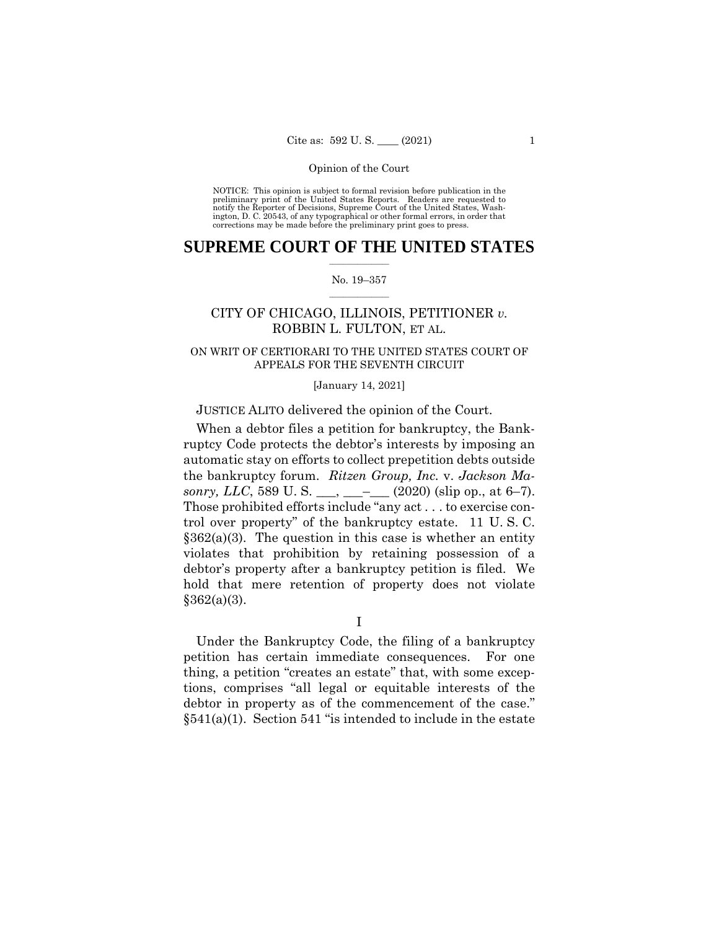NOTICE: This opinion is subject to formal revision before publication in the preliminary print of the United States Reports. Readers are requested to notify the Reporter of Decisions, Supreme Court of the United States, Wash-ington, D. C. 20543, of any typographical or other formal errors, in order that corrections may be made before the preliminary print goes to press.

# $\frac{1}{2}$  ,  $\frac{1}{2}$  ,  $\frac{1}{2}$  ,  $\frac{1}{2}$  ,  $\frac{1}{2}$  ,  $\frac{1}{2}$  ,  $\frac{1}{2}$ **SUPREME COURT OF THE UNITED STATES**

#### $\frac{1}{2}$  ,  $\frac{1}{2}$  ,  $\frac{1}{2}$  ,  $\frac{1}{2}$  ,  $\frac{1}{2}$  ,  $\frac{1}{2}$ No. 19–357

# CITY OF CHICAGO, ILLINOIS, PETITIONER *v.*  ROBBIN L. FULTON, ET AL.

# ON WRIT OF CERTIORARI TO THE UNITED STATES COURT OF APPEALS FOR THE SEVENTH CIRCUIT

#### [January 14, 2021]

### JUSTICE ALITO delivered the opinion of the Court.

 the bankruptcy forum. *Ritzen Group, Inc.* v. *Jackson Masonry, LLC*, 589 U. S. \_\_\_, \_\_\_\_\_  $(2020)$  (slip op., at 6–7). When a debtor files a petition for bankruptcy, the Bankruptcy Code protects the debtor's interests by imposing an automatic stay on efforts to collect prepetition debts outside Those prohibited efforts include "any act . . . to exercise control over property" of the bankruptcy estate. 11 U. S. C.  $§362(a)(3)$ . The question in this case is whether an entity violates that prohibition by retaining possession of a debtor's property after a bankruptcy petition is filed. We hold that mere retention of property does not violate  $§362(a)(3).$ 

I

Under the Bankruptcy Code, the filing of a bankruptcy petition has certain immediate consequences. For one thing, a petition "creates an estate" that, with some exceptions, comprises "all legal or equitable interests of the debtor in property as of the commencement of the case."  $§541(a)(1)$ . Section 541 "is intended to include in the estate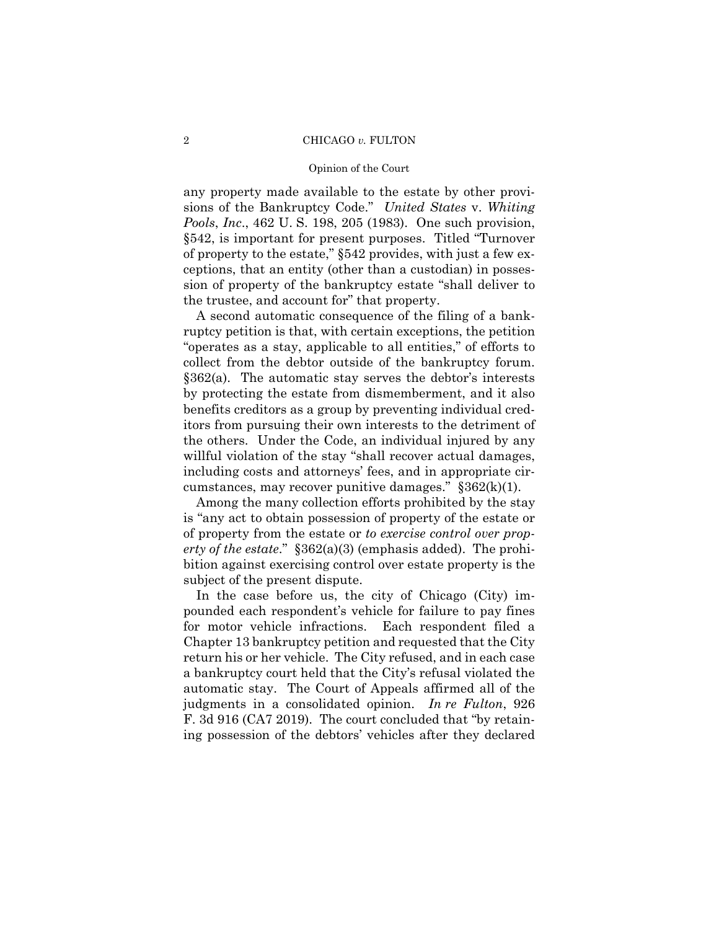#### Opinion of the Court

any property made available to the estate by other provisions of the Bankruptcy Code." *United States* v. *Whiting Pools*, *Inc*., 462 U. S. 198, 205 (1983). One such provision, §542, is important for present purposes. Titled "Turnover of property to the estate," §542 provides, with just a few exceptions, that an entity (other than a custodian) in possession of property of the bankruptcy estate "shall deliver to the trustee, and account for" that property.

A second automatic consequence of the filing of a bankruptcy petition is that, with certain exceptions, the petition "operates as a stay, applicable to all entities," of efforts to collect from the debtor outside of the bankruptcy forum. §362(a). The automatic stay serves the debtor's interests by protecting the estate from dismemberment, and it also benefits creditors as a group by preventing individual creditors from pursuing their own interests to the detriment of the others. Under the Code, an individual injured by any willful violation of the stay "shall recover actual damages, including costs and attorneys' fees, and in appropriate circumstances, may recover punitive damages."  $§362(k)(1)$ .

Among the many collection efforts prohibited by the stay is "any act to obtain possession of property of the estate or of property from the estate or *to exercise control over property of the estate*." §362(a)(3) (emphasis added). The prohibition against exercising control over estate property is the subject of the present dispute.

In the case before us, the city of Chicago (City) impounded each respondent's vehicle for failure to pay fines for motor vehicle infractions. Each respondent filed a Chapter 13 bankruptcy petition and requested that the City return his or her vehicle. The City refused, and in each case a bankruptcy court held that the City's refusal violated the automatic stay. The Court of Appeals affirmed all of the judgments in a consolidated opinion. *In re Fulton*, 926 F. 3d 916 (CA7 2019). The court concluded that "by retaining possession of the debtors' vehicles after they declared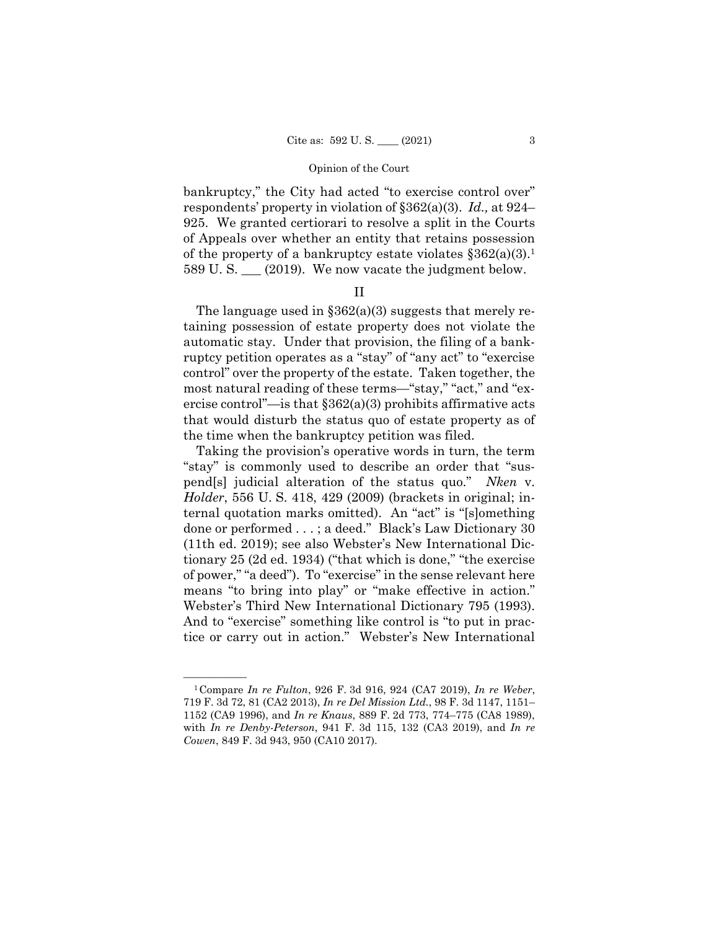bankruptcy," the City had acted "to exercise control over" respondents' property in violation of §362(a)(3). *Id.,* at 924– 925. We granted certiorari to resolve a split in the Courts of Appeals over whether an entity that retains possession of the property of a bankruptcy estate violates  $\S 362(a)(3)$ . 589 U. S. \_\_\_ (2019). We now vacate the judgment below.

# II

The language used in  $\S 362(a)(3)$  suggests that merely retaining possession of estate property does not violate the automatic stay. Under that provision, the filing of a bankruptcy petition operates as a "stay" of "any act" to "exercise control" over the property of the estate. Taken together, the most natural reading of these terms—"stay," "act," and "exercise control"—is that  $\S 362(a)(3)$  prohibits affirmative acts that would disturb the status quo of estate property as of the time when the bankruptcy petition was filed.

Taking the provision's operative words in turn, the term "stay" is commonly used to describe an order that "suspend[s] judicial alteration of the status quo." *Nken* v. *Holder*, 556 U. S. 418, 429 (2009) (brackets in original; internal quotation marks omitted). An "act" is "[s]omething done or performed . . . ; a deed." Black's Law Dictionary 30 (11th ed. 2019); see also Webster's New International Dictionary 25 (2d ed. 1934) ("that which is done," "the exercise of power," "a deed"). To "exercise" in the sense relevant here means "to bring into play" or "make effective in action." Webster's Third New International Dictionary 795 (1993). And to "exercise" something like control is "to put in practice or carry out in action." Webster's New International

<sup>1152 (</sup>CA9 1996), and *In re Knaus*, 889 F. 2d 773, 774-775 (CA8 1989), <sup>1</sup> Compare *In re Fulton*, 926 F. 3d 916, 924 (CA7 2019), *In re Weber*, 719 F. 3d 72, 81 (CA2 2013), *In re Del Mission Ltd.*, 98 F. 3d 1147, 1151– 1152 (CA9 1996), and *In re Knaus*, 889 F. 2d 773, 774–775 (CA8 1989), with *In re Denby-Peterson*, 941 F. 3d 115, 132 (CA3 2019), and *In re Cowen*, 849 F. 3d 943, 950 (CA10 2017).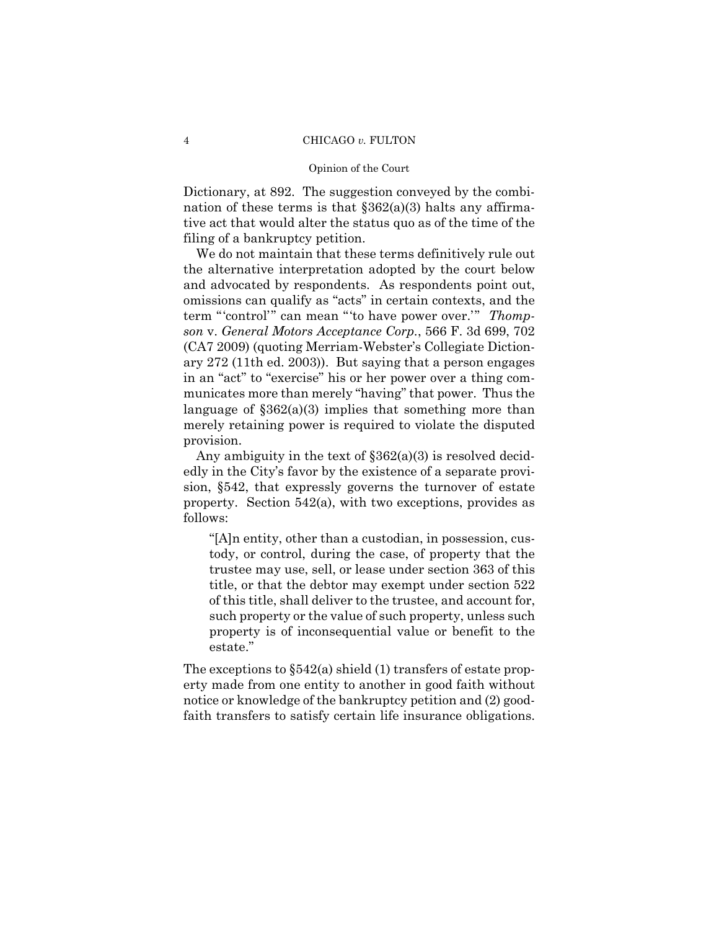#### Opinion of the Court

Dictionary, at 892. The suggestion conveyed by the combination of these terms is that  $\S 362(a)(3)$  halts any affirmative act that would alter the status quo as of the time of the filing of a bankruptcy petition.

We do not maintain that these terms definitively rule out the alternative interpretation adopted by the court below and advocated by respondents. As respondents point out, omissions can qualify as "acts" in certain contexts, and the term "'control'" can mean "'to have power over.'" *Thompson* v. *General Motors Acceptance Corp.*, 566 F. 3d 699, 702 (CA7 2009) (quoting Merriam-Webster's Collegiate Dictionary 272 (11th ed. 2003)). But saying that a person engages in an "act" to "exercise" his or her power over a thing communicates more than merely "having" that power. Thus the language of §362(a)(3) implies that something more than merely retaining power is required to violate the disputed provision.

Any ambiguity in the text of §362(a)(3) is resolved decidedly in the City's favor by the existence of a separate provision, §542, that expressly governs the turnover of estate property. Section 542(a), with two exceptions, provides as follows:

"[A]n entity, other than a custodian, in possession, custody, or control, during the case, of property that the trustee may use, sell, or lease under section 363 of this title, or that the debtor may exempt under section 522 of this title, shall deliver to the trustee, and account for, such property or the value of such property, unless such property is of inconsequential value or benefit to the estate."

 faith transfers to satisfy certain life insurance obligations. The exceptions to §542(a) shield (1) transfers of estate property made from one entity to another in good faith without notice or knowledge of the bankruptcy petition and (2) good-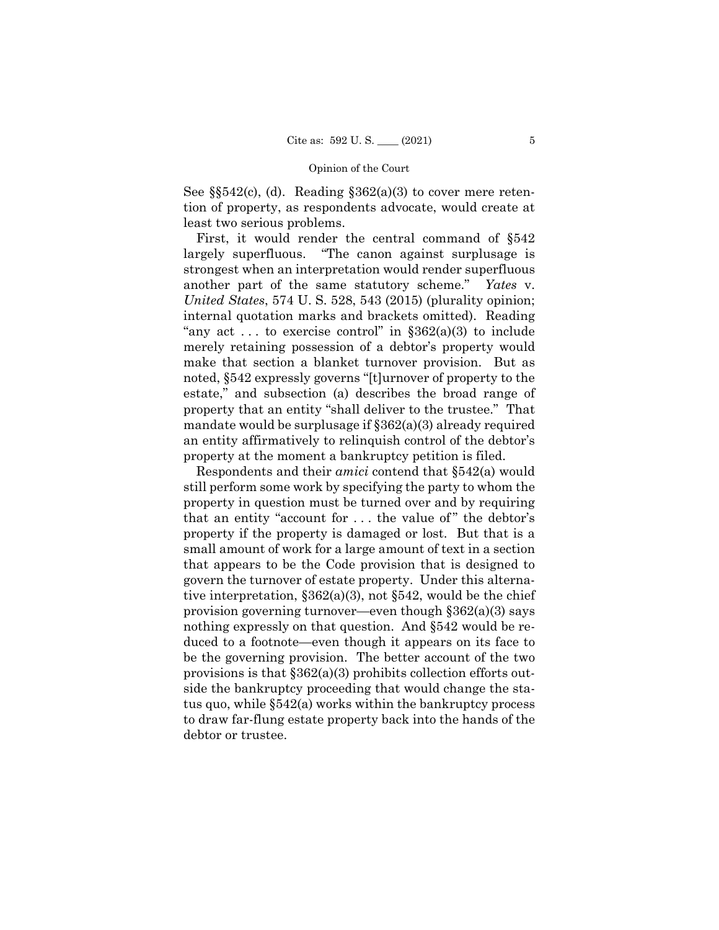See  $\S542(c)$ , (d). Reading  $\S362(a)(3)$  to cover mere retention of property, as respondents advocate, would create at least two serious problems.

First, it would render the central command of §542 largely superfluous. "The canon against surplusage is strongest when an interpretation would render superfluous another part of the same statutory scheme." *Yates* v. *United States*, 574 U. S. 528, 543 (2015) (plurality opinion; internal quotation marks and brackets omitted). Reading "any act ... to exercise control" in  $\S 362(a)(3)$  to include merely retaining possession of a debtor's property would make that section a blanket turnover provision. But as noted, §542 expressly governs "[t]urnover of property to the estate," and subsection (a) describes the broad range of property that an entity "shall deliver to the trustee." That mandate would be surplusage if §362(a)(3) already required an entity affirmatively to relinquish control of the debtor's property at the moment a bankruptcy petition is filed.

Respondents and their *amici* contend that §542(a) would still perform some work by specifying the party to whom the property in question must be turned over and by requiring that an entity "account for  $\dots$  the value of" the debtor's property if the property is damaged or lost. But that is a small amount of work for a large amount of text in a section that appears to be the Code provision that is designed to govern the turnover of estate property. Under this alternative interpretation,  $\S 362(a)(3)$ , not  $\S 542$ , would be the chief provision governing turnover—even though §362(a)(3) says nothing expressly on that question. And §542 would be reduced to a footnote—even though it appears on its face to be the governing provision. The better account of the two provisions is that §362(a)(3) prohibits collection efforts outside the bankruptcy proceeding that would change the status quo, while §542(a) works within the bankruptcy process to draw far-flung estate property back into the hands of the debtor or trustee.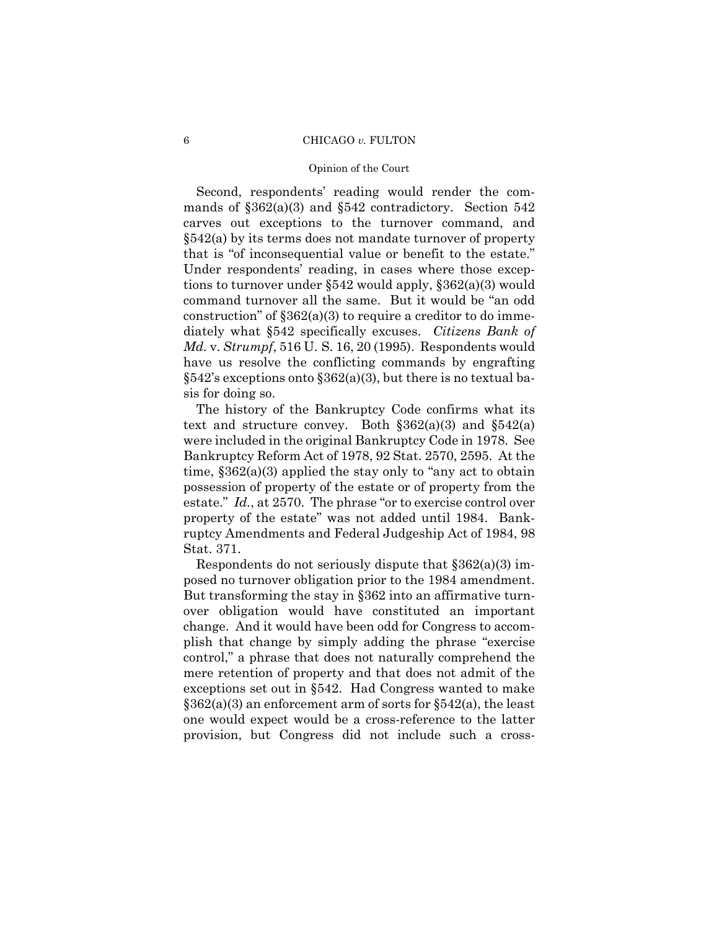#### Opinion of the Court

Second, respondents' reading would render the commands of §362(a)(3) and §542 contradictory. Section 542 carves out exceptions to the turnover command, and §542(a) by its terms does not mandate turnover of property that is "of inconsequential value or benefit to the estate." Under respondents' reading, in cases where those exceptions to turnover under §542 would apply, §362(a)(3) would command turnover all the same. But it would be "an odd construction" of  $\S 362(a)(3)$  to require a creditor to do immediately what §542 specifically excuses. *Citizens Bank of Md.* v. *Strumpf*, 516 U. S. 16, 20 (1995). Respondents would have us resolve the conflicting commands by engrafting  $§542's$  exceptions onto  $§362(a)(3)$ , but there is no textual basis for doing so.

The history of the Bankruptcy Code confirms what its text and structure convey. Both  $\S 362(a)(3)$  and  $\S 542(a)$ were included in the original Bankruptcy Code in 1978. See Bankruptcy Reform Act of 1978, 92 Stat. 2570, 2595. At the time, §362(a)(3) applied the stay only to "any act to obtain possession of property of the estate or of property from the estate." *Id.*, at 2570. The phrase "or to exercise control over property of the estate" was not added until 1984. Bankruptcy Amendments and Federal Judgeship Act of 1984, 98 Stat. 371.

 posed no turnover obligation prior to the 1984 amendment. Respondents do not seriously dispute that  $\S 362(a)(3)$  im-But transforming the stay in §362 into an affirmative turnover obligation would have constituted an important change. And it would have been odd for Congress to accomplish that change by simply adding the phrase "exercise control," a phrase that does not naturally comprehend the mere retention of property and that does not admit of the exceptions set out in §542. Had Congress wanted to make  $\S362(a)(3)$  an enforcement arm of sorts for  $\S542(a)$ , the least one would expect would be a cross-reference to the latter provision, but Congress did not include such a cross-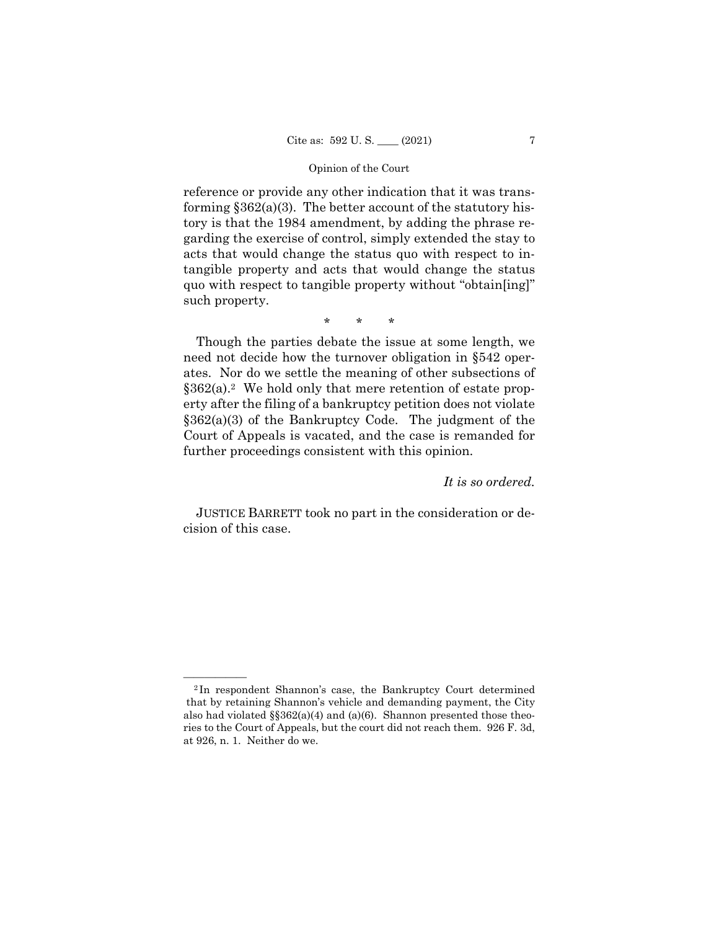reference or provide any other indication that it was transforming  $$362(a)(3)$ . The better account of the statutory history is that the 1984 amendment, by adding the phrase regarding the exercise of control, simply extended the stay to acts that would change the status quo with respect to intangible property and acts that would change the status quo with respect to tangible property without "obtain[ing]" such property.

\* \* \*

Though the parties debate the issue at some length, we need not decide how the turnover obligation in §542 operates. Nor do we settle the meaning of other subsections of  $§362(a).<sup>2</sup>$  We hold only that mere retention of estate property after the filing of a bankruptcy petition does not violate §362(a)(3) of the Bankruptcy Code. The judgment of the Court of Appeals is vacated, and the case is remanded for further proceedings consistent with this opinion.

# *It is so ordered.*

 JUSTICE BARRETT took no part in the consideration or decision of this case.

<sup>&</sup>lt;sup>2</sup>In respondent Shannon's case, the Bankruptcy Court determined that by retaining Shannon's vehicle and demanding payment, the City also had violated  $\S$  $362(a)(4)$  and  $(a)(6)$ . Shannon presented those theories to the Court of Appeals, but the court did not reach them. 926 F. 3d, at 926, n. 1. Neither do we.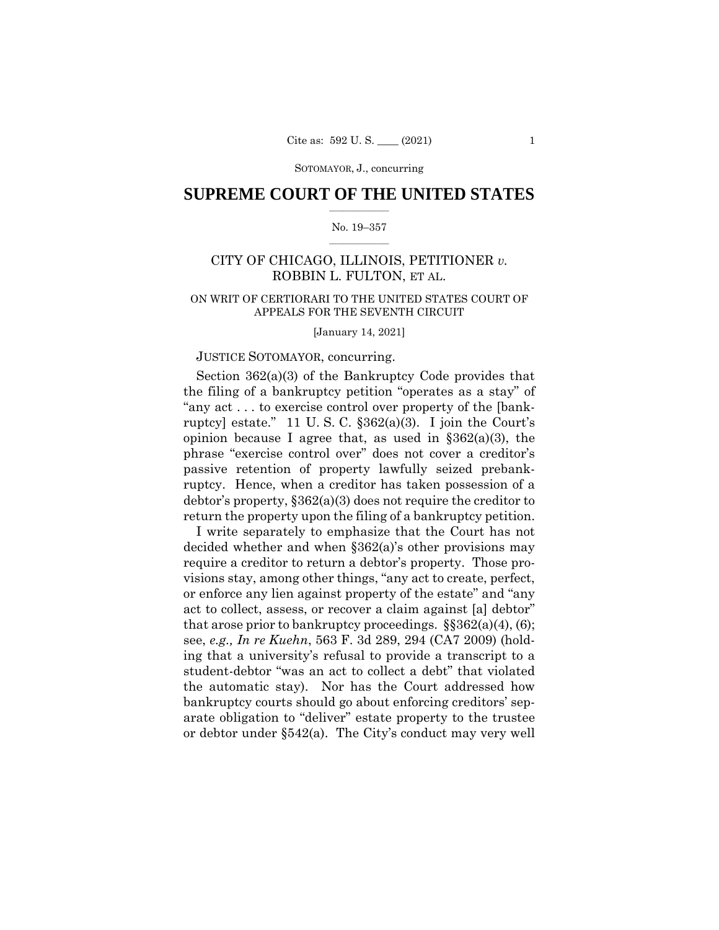# $\frac{1}{2}$  ,  $\frac{1}{2}$  ,  $\frac{1}{2}$  ,  $\frac{1}{2}$  ,  $\frac{1}{2}$  ,  $\frac{1}{2}$  ,  $\frac{1}{2}$ **SUPREME COURT OF THE UNITED STATES**

#### $\frac{1}{2}$  ,  $\frac{1}{2}$  ,  $\frac{1}{2}$  ,  $\frac{1}{2}$  ,  $\frac{1}{2}$  ,  $\frac{1}{2}$ No. 19–357

# CITY OF CHICAGO, ILLINOIS, PETITIONER *v.*  ROBBIN L. FULTON, ET AL.

# ON WRIT OF CERTIORARI TO THE UNITED STATES COURT OF APPEALS FOR THE SEVENTH CIRCUIT

[January 14, 2021]

# JUSTICE SOTOMAYOR, concurring.

Section 362(a)(3) of the Bankruptcy Code provides that the filing of a bankruptcy petition "operates as a stay" of "any act . . . to exercise control over property of the [bankruptcy] estate." 11 U. S. C. §362(a)(3). I join the Court's opinion because I agree that, as used in  $\S 362(a)(3)$ , the phrase "exercise control over" does not cover a creditor's passive retention of property lawfully seized prebankruptcy. Hence, when a creditor has taken possession of a debtor's property, §362(a)(3) does not require the creditor to return the property upon the filing of a bankruptcy petition.

 the automatic stay). Nor has the Court addressed how I write separately to emphasize that the Court has not decided whether and when §362(a)'s other provisions may require a creditor to return a debtor's property. Those provisions stay, among other things, "any act to create, perfect, or enforce any lien against property of the estate" and "any act to collect, assess, or recover a claim against [a] debtor" that arose prior to bankruptcy proceedings.  $\S$ §362(a)(4), (6); see, *e.g., In re Kuehn*, 563 F. 3d 289, 294 (CA7 2009) (holding that a university's refusal to provide a transcript to a student-debtor "was an act to collect a debt" that violated bankruptcy courts should go about enforcing creditors' separate obligation to "deliver" estate property to the trustee or debtor under §542(a). The City's conduct may very well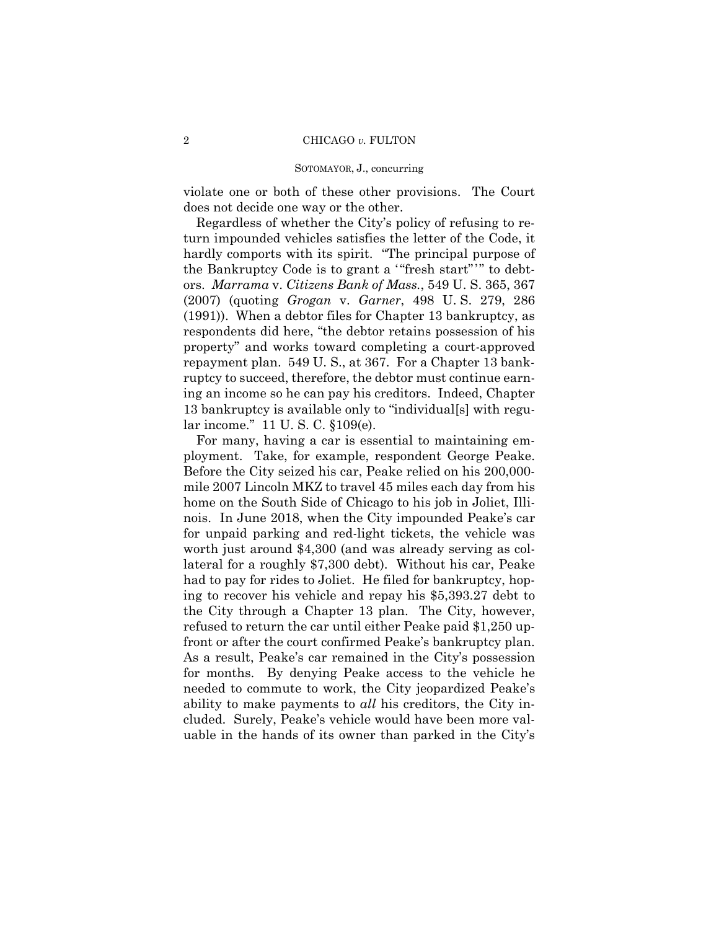violate one or both of these other provisions. The Court does not decide one way or the other.

 the Bankruptcy Code is to grant a '"fresh start" '" to debt-Regardless of whether the City's policy of refusing to return impounded vehicles satisfies the letter of the Code, it hardly comports with its spirit. "The principal purpose of ors. *Marrama* v. *Citizens Bank of Mass.*, 549 U. S. 365, 367 (2007) (quoting *Grogan* v. *Garner*, 498 U. S. 279, 286 (1991)). When a debtor files for Chapter 13 bankruptcy, as respondents did here, "the debtor retains possession of his property" and works toward completing a court-approved repayment plan. 549 U. S., at 367. For a Chapter 13 bankruptcy to succeed, therefore, the debtor must continue earning an income so he can pay his creditors. Indeed, Chapter 13 bankruptcy is available only to "individual[s] with regular income." 11 U. S. C. §109(e).

 front or after the court confirmed Peake's bankruptcy plan. For many, having a car is essential to maintaining employment. Take, for example, respondent George Peake. Before the City seized his car, Peake relied on his 200,000 mile 2007 Lincoln MKZ to travel 45 miles each day from his home on the South Side of Chicago to his job in Joliet, Illinois. In June 2018, when the City impounded Peake's car for unpaid parking and red-light tickets, the vehicle was worth just around \$4,300 (and was already serving as collateral for a roughly \$7,300 debt). Without his car, Peake had to pay for rides to Joliet. He filed for bankruptcy, hoping to recover his vehicle and repay his \$5,393.27 debt to the City through a Chapter 13 plan. The City, however, refused to return the car until either Peake paid \$1,250 up-As a result, Peake's car remained in the City's possession for months. By denying Peake access to the vehicle he needed to commute to work, the City jeopardized Peake's ability to make payments to *all* his creditors, the City included. Surely, Peake's vehicle would have been more valuable in the hands of its owner than parked in the City's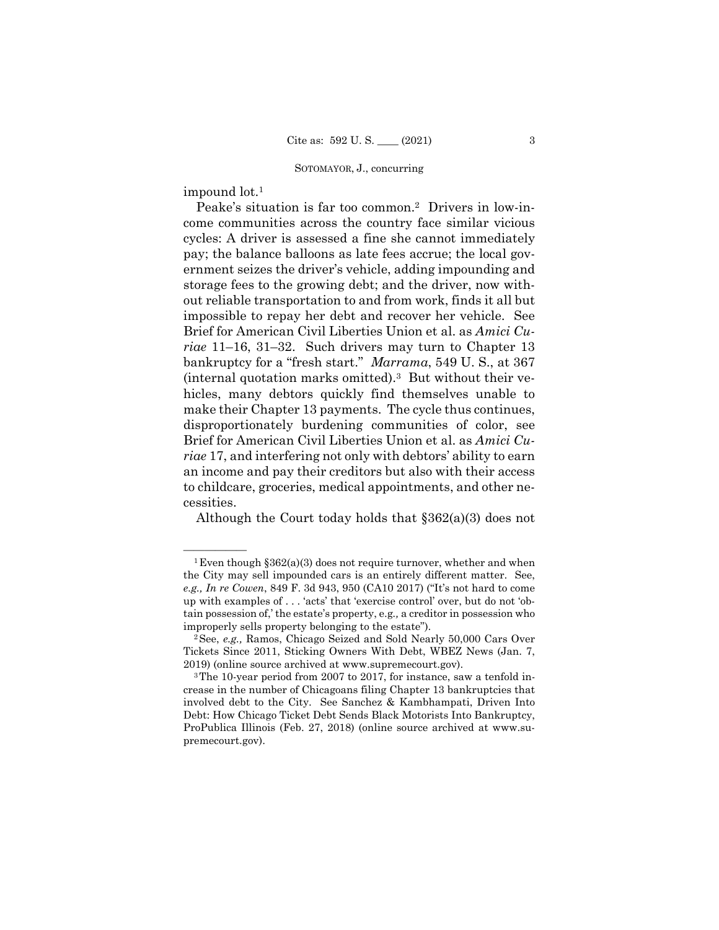impound lot.1

Peake's situation is far too common.2 Drivers in low-income communities across the country face similar vicious cycles: A driver is assessed a fine she cannot immediately pay; the balance balloons as late fees accrue; the local government seizes the driver's vehicle, adding impounding and storage fees to the growing debt; and the driver, now without reliable transportation to and from work, finds it all but impossible to repay her debt and recover her vehicle. See Brief for American Civil Liberties Union et al. as *Amici Curiae* 11–16, 31–32. Such drivers may turn to Chapter 13 bankruptcy for a "fresh start." *Marrama*, 549 U. S., at 367 (internal quotation marks omitted).3 But without their vehicles, many debtors quickly find themselves unable to make their Chapter 13 payments. The cycle thus continues, disproportionately burdening communities of color, see Brief for American Civil Liberties Union et al. as *Amici Curiae* 17, and interfering not only with debtors' ability to earn an income and pay their creditors but also with their access to childcare, groceries, medical appointments, and other necessities.

Although the Court today holds that §362(a)(3) does not

<sup>&</sup>lt;sup>1</sup> Even though  $\S 362(a)(3)$  does not require turnover, whether and when the City may sell impounded cars is an entirely different matter. See, *e.g., In re Cowen*, 849 F. 3d 943, 950 (CA10 2017) ("It's not hard to come up with examples of . . . 'acts' that 'exercise control' over, but do not 'obtain possession of,' the estate's property, e.g*.,* a creditor in possession who improperly sells property belonging to the estate").

<sup>2</sup>See, *e.g.,* Ramos, Chicago Seized and Sold Nearly 50,000 Cars Over Tickets Since 2011, Sticking Owners With Debt, WBEZ News (Jan. 7, 2019) (online source archived at www.supremecourt.gov). 3The 10-year period from 2007 to 2017, for instance, saw a tenfold in-

crease in the number of Chicagoans filing Chapter 13 bankruptcies that involved debt to the City. See Sanchez & Kambhampati, Driven Into Debt: How Chicago Ticket Debt Sends Black Motorists Into Bankruptcy, ProPublica Illinois (Feb. 27, 2018) (online source archived at www.supremecourt.gov).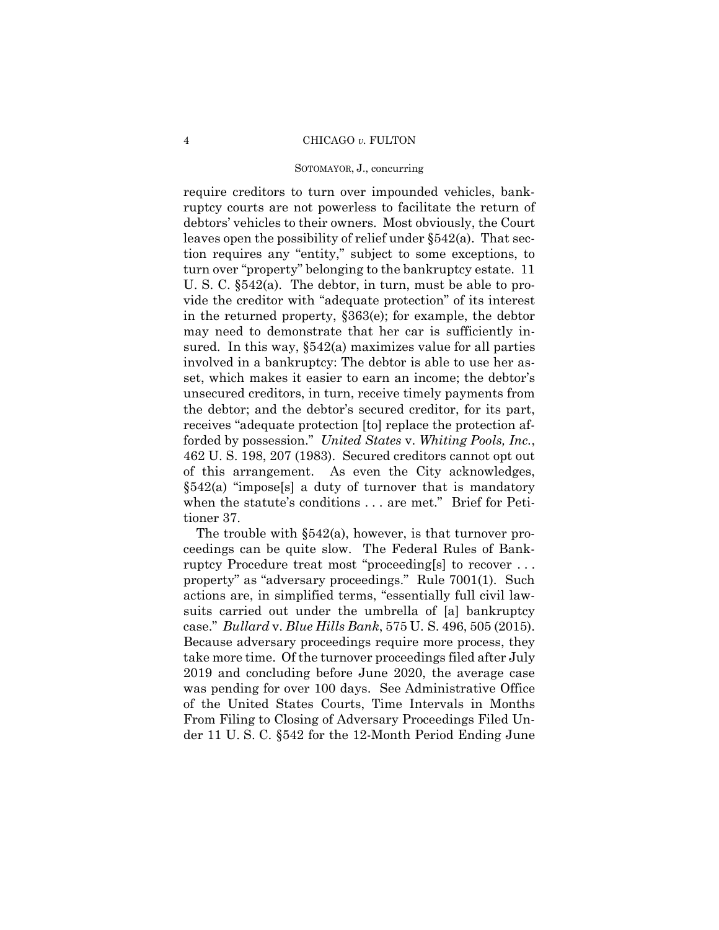#### SOTOMAYOR, J., concurring

require creditors to turn over impounded vehicles, bankruptcy courts are not powerless to facilitate the return of debtors' vehicles to their owners. Most obviously, the Court leaves open the possibility of relief under §542(a). That section requires any "entity," subject to some exceptions, to turn over "property" belonging to the bankruptcy estate. 11 U. S. C. §542(a). The debtor, in turn, must be able to provide the creditor with "adequate protection" of its interest in the returned property, §363(e); for example, the debtor may need to demonstrate that her car is sufficiently insured. In this way, §542(a) maximizes value for all parties involved in a bankruptcy: The debtor is able to use her asset, which makes it easier to earn an income; the debtor's unsecured creditors, in turn, receive timely payments from the debtor; and the debtor's secured creditor, for its part, receives "adequate protection [to] replace the protection afforded by possession." *United States* v. *Whiting Pools, Inc.*, 462 U. S. 198, 207 (1983). Secured creditors cannot opt out of this arrangement. As even the City acknowledges,  $§542(a)$  "impose[s] a duty of turnover that is mandatory when the statute's conditions . . . are met." Brief for Petitioner 37.

 case." *Bullard* v. *Blue Hills Bank*, 575 U. S. 496, 505 (2015). The trouble with §542(a), however, is that turnover proceedings can be quite slow. The Federal Rules of Bankruptcy Procedure treat most "proceeding[s] to recover . . . property" as "adversary proceedings." Rule 7001(1). Such actions are, in simplified terms, "essentially full civil lawsuits carried out under the umbrella of [a] bankruptcy Because adversary proceedings require more process, they take more time. Of the turnover proceedings filed after July 2019 and concluding before June 2020, the average case was pending for over 100 days. See Administrative Office of the United States Courts, Time Intervals in Months From Filing to Closing of Adversary Proceedings Filed Under 11 U. S. C. §542 for the 12-Month Period Ending June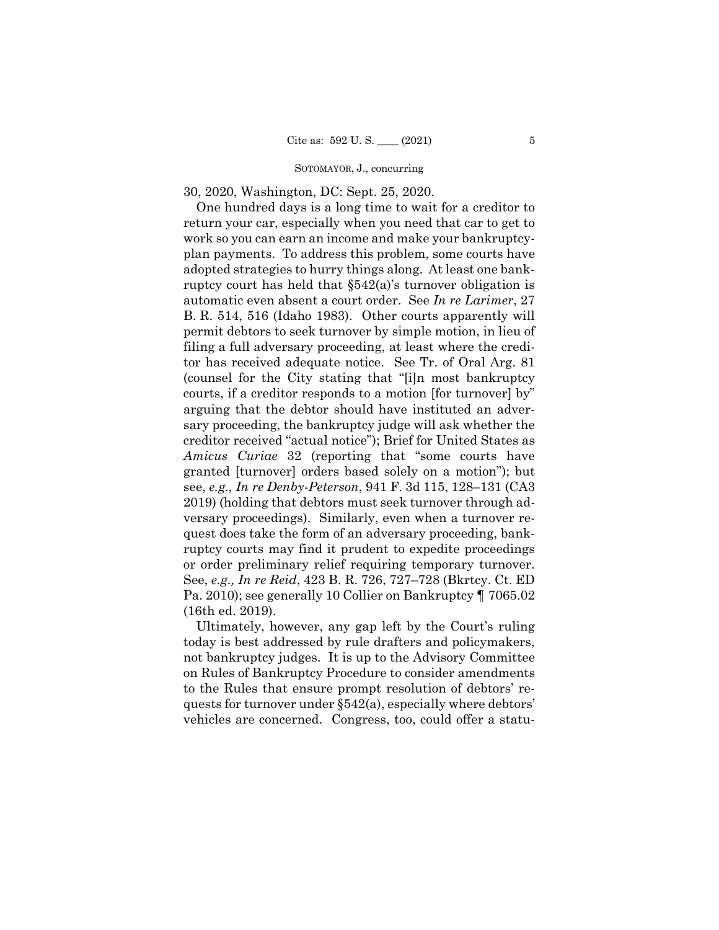30, 2020, Washington, DC: Sept. 25, 2020.

or order preliminary relief requiring temporary turnover. One hundred days is a long time to wait for a creditor to return your car, especially when you need that car to get to work so you can earn an income and make your bankruptcyplan payments. To address this problem, some courts have adopted strategies to hurry things along. At least one bankruptcy court has held that §542(a)'s turnover obligation is automatic even absent a court order. See *In re Larimer*, 27 B. R. 514, 516 (Idaho 1983). Other courts apparently will permit debtors to seek turnover by simple motion, in lieu of filing a full adversary proceeding, at least where the creditor has received adequate notice. See Tr. of Oral Arg. 81 (counsel for the City stating that "[i]n most bankruptcy courts, if a creditor responds to a motion [for turnover] by" arguing that the debtor should have instituted an adversary proceeding, the bankruptcy judge will ask whether the creditor received "actual notice"); Brief for United States as *Amicus Curiae* 32 (reporting that "some courts have granted [turnover] orders based solely on a motion"); but see, *e.g., In re Denby-Peterson*, 941 F. 3d 115, 128–131 (CA3 2019) (holding that debtors must seek turnover through adversary proceedings). Similarly, even when a turnover request does take the form of an adversary proceeding, bankruptcy courts may find it prudent to expedite proceedings See, *e.g., In re Reid*, 423 B. R. 726, 727–728 (Bkrtcy. Ct. ED Pa. 2010); see generally 10 Collier on Bankruptcy ¶ 7065.02 (16th ed. 2019).

Ultimately, however, any gap left by the Court's ruling today is best addressed by rule drafters and policymakers, not bankruptcy judges. It is up to the Advisory Committee on Rules of Bankruptcy Procedure to consider amendments to the Rules that ensure prompt resolution of debtors' requests for turnover under §542(a), especially where debtors' vehicles are concerned. Congress, too, could offer a statu-